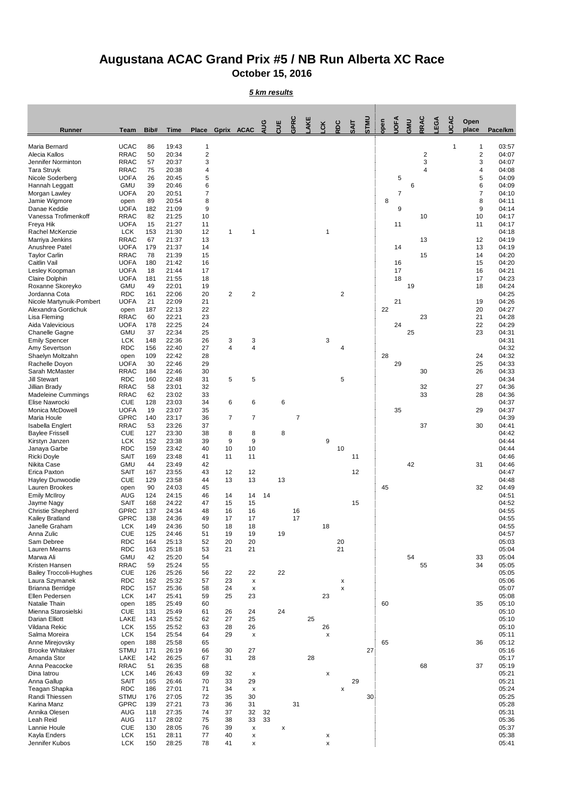## **Augustana ACAC Grand Prix #5 / NB Run Alberta XC Race October 15, 2016**

*5 km results*

| Runner                                     | Team                       | Bib#       | Time           | Place          |                | Gprix ACAC         | gua | <b>CUE</b> | GPRC           | AKE | -ck                | RDC                     | <b>SAIT</b> | <b>UNILS</b> | open | <b>UOFA</b>    | GMU | RRAC           | EGA | <b>UCAC</b> | Open<br>place  | Pace/km        |
|--------------------------------------------|----------------------------|------------|----------------|----------------|----------------|--------------------|-----|------------|----------------|-----|--------------------|-------------------------|-------------|--------------|------|----------------|-----|----------------|-----|-------------|----------------|----------------|
| Maria Bernard                              | <b>UCAC</b>                | 86         | 19:43          | 1              |                |                    |     |            |                |     |                    |                         |             |              |      |                |     |                |     | 1           | 1              | 03:57          |
| Alecia Kallos                              | <b>RRAC</b>                | 50         | 20:34          | $\overline{2}$ |                |                    |     |            |                |     |                    |                         |             |              |      |                |     | $\overline{2}$ |     |             | $\overline{2}$ | 04:07          |
| Jennifer Norminton                         | <b>RRAC</b>                | 57         | 20:37          | 3              |                |                    |     |            |                |     |                    |                         |             |              |      |                |     | 3              |     |             | 3              | 04:07          |
| <b>Tara Struyk</b>                         | <b>RRAC</b>                | 75         | 20:38          | 4              |                |                    |     |            |                |     |                    |                         |             |              |      |                |     | 4              |     |             | 4              | 04:08          |
| Nicole Soderberg<br>Hannah Leggatt         | <b>UOFA</b><br><b>GMU</b>  | 26<br>39   | 20:45<br>20:46 | 5<br>6         |                |                    |     |            |                |     |                    |                         |             |              |      | 5              | 6   |                |     |             | 5<br>6         | 04:09<br>04:09 |
| Morgan Lawley                              | <b>UOFA</b>                | 20         | 20:51          | $\overline{7}$ |                |                    |     |            |                |     |                    |                         |             |              |      | $\overline{7}$ |     |                |     |             | 7              | 04:10          |
| Jamie Wigmore                              | open                       | 89         | 20:54          | 8              |                |                    |     |            |                |     |                    |                         |             |              | 8    |                |     |                |     |             | 8              | 04:11          |
| Danae Keddie                               | <b>UOFA</b>                | 182        | 21:09          | 9              |                |                    |     |            |                |     |                    |                         |             |              |      | 9              |     |                |     |             | 9              | 04:14          |
| Vanessa Trofimenkoff                       | <b>RRAC</b>                | 82         | 21:25          | 10             |                |                    |     |            |                |     |                    |                         |             |              |      |                |     | 10             |     |             | 10             | 04:17          |
| Freya Hik                                  | <b>UOFA</b>                | 15         | 21:27          | 11             |                |                    |     |            |                |     |                    |                         |             |              |      | 11             |     |                |     |             | 11             | 04:17          |
| Rachel McKenzie                            | <b>LCK</b>                 | 153        | 21:30          | 12             | 1              | 1                  |     |            |                |     | 1                  |                         |             |              |      |                |     |                |     |             |                | 04:18          |
| Marriya Jenkins                            | <b>RRAC</b>                | 67         | 21:37          | 13             |                |                    |     |            |                |     |                    |                         |             |              |      |                |     | 13             |     |             | 12             | 04:19          |
| Anushree Patel                             | <b>UOFA</b>                | 179        | 21:37          | 14             |                |                    |     |            |                |     |                    |                         |             |              |      | 14             |     |                |     |             | 13             | 04:19          |
| <b>Taylor Carlin</b><br>Caitlin Vail       | <b>RRAC</b><br><b>UOFA</b> | 78<br>180  | 21:39<br>21:42 | 15<br>16       |                |                    |     |            |                |     |                    |                         |             |              |      | 16             |     | 15             |     |             | 14<br>15       | 04:20<br>04:20 |
| Lesley Koopman                             | <b>UOFA</b>                | 18         | 21:44          | 17             |                |                    |     |            |                |     |                    |                         |             |              |      | 17             |     |                |     |             | 16             | 04:21          |
| Claire Dolphin                             | <b>UOFA</b>                | 181        | 21:55          | 18             |                |                    |     |            |                |     |                    |                         |             |              |      | 18             |     |                |     |             | 17             | 04:23          |
| Roxanne Skoreyko                           | <b>GMU</b>                 | 49         | 22:01          | 19             |                |                    |     |            |                |     |                    |                         |             |              |      |                | 19  |                |     |             | 18             | 04:24          |
| Jordanna Cota                              | <b>RDC</b>                 | 161        | 22:06          | 20             | $\overline{2}$ | $\overline{2}$     |     |            |                |     |                    | 2                       |             |              |      |                |     |                |     |             |                | 04:25          |
| Nicole Martynuik-Pombert                   | <b>UOFA</b>                | 21         | 22:09          | 21             |                |                    |     |            |                |     |                    |                         |             |              |      | 21             |     |                |     |             | 19             | 04:26          |
| Alexandra Gordichuk                        | open                       | 187        | 22:13          | 22             |                |                    |     |            |                |     |                    |                         |             |              | 22   |                |     |                |     |             | 20             | 04:27          |
| Lisa Fleming                               | <b>RRAC</b>                | 60         | 22:21          | 23             |                |                    |     |            |                |     |                    |                         |             |              |      |                |     | 23             |     |             | 21             | 04:28          |
| Aida Valevicious                           | <b>UOFA</b>                | 178        | 22:25          | 24             |                |                    |     |            |                |     |                    |                         |             |              |      | 24             |     |                |     |             | 22             | 04:29          |
| Chanelle Gagne                             | <b>GMU</b>                 | 37         | 22:34          | 25             |                |                    |     |            |                |     |                    |                         |             |              |      |                | 25  |                |     |             | 23             | 04:31          |
| <b>Emily Spencer</b><br>Amy Severtson      | <b>LCK</b><br><b>RDC</b>   | 148<br>156 | 22:36<br>22:40 | 26<br>27       | 3<br>4         | 3<br>4             |     |            |                |     | 3                  | $\overline{4}$          |             |              |      |                |     |                |     |             |                | 04:31<br>04:32 |
| Shaelyn Moltzahn                           | open                       | 109        | 22:42          | 28             |                |                    |     |            |                |     |                    |                         |             |              | 28   |                |     |                |     |             | 24             | 04:32          |
| Rachelle Doyon                             | <b>UOFA</b>                | 30         | 22:46          | 29             |                |                    |     |            |                |     |                    |                         |             |              |      | 29             |     |                |     |             | 25             | 04:33          |
| Sarah McMaster                             | RRAC                       | 184        | 22:46          | 30             |                |                    |     |            |                |     |                    |                         |             |              |      |                |     | 30             |     |             | 26             | 04:33          |
| <b>Jill Stewart</b>                        | <b>RDC</b>                 | 160        | 22:48          | 31             | 5              | 5                  |     |            |                |     |                    | 5                       |             |              |      |                |     |                |     |             |                | 04:34          |
| Jillian Brady                              | <b>RRAC</b>                | 58         | 23:01          | 32             |                |                    |     |            |                |     |                    |                         |             |              |      |                |     | 32             |     |             | 27             | 04:36          |
| <b>Madeleine Cummings</b>                  | <b>RRAC</b>                | 62         | 23:02          | 33             |                |                    |     |            |                |     |                    |                         |             |              |      |                |     | 33             |     |             | 28             | 04:36          |
| Elise Nawrocki                             | <b>CUE</b>                 | 128        | 23:03          | 34             | 6              | 6                  |     | 6          |                |     |                    |                         |             |              |      |                |     |                |     |             |                | 04:37          |
| Monica McDowell                            | <b>UOFA</b>                | 19         | 23:07          | 35             |                |                    |     |            |                |     |                    |                         |             |              |      | 35             |     |                |     |             | 29             | 04:37          |
| Maria Houle                                | <b>GPRC</b>                | 140        | 23:17          | 36             | $\overline{7}$ | $\overline{7}$     |     |            | $\overline{7}$ |     |                    |                         |             |              |      |                |     |                |     |             |                | 04:39          |
| Isabella Englert<br><b>Baylee Frissell</b> | <b>RRAC</b><br><b>CUE</b>  | 53<br>127  | 23:26<br>23:30 | 37<br>38       | 8              | 8                  |     | 8          |                |     |                    |                         |             |              |      |                |     | 37             |     |             | 30             | 04:41<br>04:42 |
| Kirstyn Janzen                             | <b>LCK</b>                 | 152        | 23:38          | 39             | 9              | 9                  |     |            |                |     | 9                  |                         |             |              |      |                |     |                |     |             |                | 04:44          |
| Janaya Garbe                               | <b>RDC</b>                 | 159        | 23:42          | 40             | 10             | 10                 |     |            |                |     |                    | 10                      |             |              |      |                |     |                |     |             |                | 04:44          |
| Ricki Doyle                                | SAIT                       | 169        | 23:48          | 41             | 11             | 11                 |     |            |                |     |                    |                         | 11          |              |      |                |     |                |     |             |                | 04:46          |
| Nikita Case                                | <b>GMU</b>                 | 44         | 23:49          | 42             |                |                    |     |            |                |     |                    |                         |             |              |      |                | 42  |                |     |             | 31             | 04:46          |
| Erica Paxton                               | SAIT                       | 167        | 23:55          | 43             | 12             | 12                 |     |            |                |     |                    |                         | 12          |              |      |                |     |                |     |             |                | 04:47          |
| Hayley Dunwoodie                           | <b>CUE</b>                 | 129        | 23:58          | 44             | 13             | 13                 |     | 13         |                |     |                    |                         |             |              |      |                |     |                |     |             |                | 04:48          |
| Lauren Brookes                             | open                       | 90         | 24:03          | 45             |                |                    |     |            |                |     |                    |                         |             |              | 45   |                |     |                |     |             | 32             | 04:49          |
| <b>Emily McIlroy</b>                       | AUG                        | 124        | 24:15          | 46             | 14             | 14                 | 14  |            |                |     |                    |                         |             |              |      |                |     |                |     |             |                | 04:51          |
| Jayme Nagy<br><b>Christie Shepherd</b>     | <b>SAIT</b><br><b>GPRC</b> | 168<br>137 | 24:22<br>24:34 | 47<br>48       | 15<br>16       | 15<br>16           |     |            | 16             |     |                    |                         | 15          |              |      |                |     |                |     |             |                | 04:52<br>04:55 |
| Kailey Bratland                            | <b>GPRC</b>                | 138        | 24:36          | 49             | 17             | 17                 |     |            | 17             |     |                    |                         |             |              |      |                |     |                |     |             |                | 04:55          |
| Janelle Graham                             | <b>LCK</b>                 | 149        | 24:36          | 50             | 18             | 18                 |     |            |                |     | 18                 |                         |             |              |      |                |     |                |     |             |                | 04:55          |
| Anna Zulic                                 | <b>CUE</b>                 | 125        | 24:46          | 51             | 19             | 19                 |     | 19         |                |     |                    |                         |             |              |      |                |     |                |     |             |                | 04:57          |
| Sam Debree                                 | <b>RDC</b>                 | 164        | 25:13          | 52             | 20             | 20                 |     |            |                |     |                    | 20                      |             |              |      |                |     |                |     |             |                | 05:03          |
| Lauren Mearns                              | <b>RDC</b>                 | 163        | 25:18          | 53             | 21             | 21                 |     |            |                |     |                    | 21                      |             |              |      |                |     |                |     |             |                | 05:04          |
| Marwa Ali                                  | <b>GMU</b>                 | 42         | 25:20          | 54             |                |                    |     |            |                |     |                    |                         |             |              |      |                | 54  |                |     |             | 33             | 05:04          |
| Kristen Hansen                             | <b>RRAC</b>                | 59         | 25:24          | 55             |                |                    |     |            |                |     |                    |                         |             |              |      |                |     | 55             |     |             | 34             | 05:05          |
| <b>Bailey Troccoli-Hughes</b>              | <b>CUE</b>                 | 126        | 25:26          | 56             | 22             | 22                 |     | 22         |                |     |                    |                         |             |              |      |                |     |                |     |             |                | 05:05          |
| Laura Szymanek<br>Brianna Berridge         | <b>RDC</b><br><b>RDC</b>   | 162<br>157 | 25:32<br>25:36 | 57<br>58       | 23<br>24       | х                  |     |            |                |     |                    | x<br>$\pmb{\mathsf{x}}$ |             |              |      |                |     |                |     |             |                | 05:06<br>05:07 |
| Ellen Pedersen                             | <b>LCK</b>                 | 147        | 25:41          | 59             | 25             | х<br>23            |     |            |                |     | 23                 |                         |             |              |      |                |     |                |     |             |                | 05:08          |
| Natalie Thain                              | open                       | 185        | 25:49          | 60             |                |                    |     |            |                |     |                    |                         |             |              | 60   |                |     |                |     |             | 35             | 05:10          |
| Mienna Starosielski                        | <b>CUE</b>                 | 131        | 25:49          | 61             | 26             | 24                 |     | 24         |                |     |                    |                         |             |              |      |                |     |                |     |             |                | 05:10          |
| Darian Elliott                             | LAKE                       | 143        | 25:52          | 62             | 27             | 25                 |     |            |                | 25  |                    |                         |             |              |      |                |     |                |     |             |                | 05:10          |
| Vildana Rekic                              | <b>LCK</b>                 | 155        | 25:52          | 63             | 28             | 26                 |     |            |                |     | 26                 |                         |             |              |      |                |     |                |     |             |                | 05:10          |
| Salma Moreira                              | <b>LCK</b>                 | 154        | 25:54          | 64             | 29             | х                  |     |            |                |     | x                  |                         |             |              |      |                |     |                |     |             |                | 05:11          |
| Anne Mirejovsky                            | open                       | 188        | 25:58          | 65             |                |                    |     |            |                |     |                    |                         |             |              | 65   |                |     |                |     |             | 36             | 05:12          |
| <b>Brooke Whitaker</b>                     | <b>STMU</b>                | 171        | 26:19          | 66             | 30             | 27                 |     |            |                |     |                    |                         |             | 27           |      |                |     |                |     |             |                | 05:16          |
| Amanda Stor                                | LAKE                       | 142        | 26:25          | 67             | 31             | 28                 |     |            |                | 28  |                    |                         |             |              |      |                |     |                |     |             |                | 05:17          |
| Anna Peacocke<br>Dina latrou               | <b>RRAC</b><br><b>LCK</b>  | 51<br>146  | 26:35<br>26:43 | 68<br>69       | 32             |                    |     |            |                |     |                    |                         |             |              |      |                |     | 68             |     |             | 37             | 05:19<br>05:21 |
| Anna Gallup                                | <b>SAIT</b>                | 165        | 26:46          | 70             | 33             | х<br>29            |     |            |                |     | х                  |                         | 29          |              |      |                |     |                |     |             |                | 05:21          |
| Teagan Shapka                              | <b>RDC</b>                 | 186        | 27:01          | 71             | 34             | х                  |     |            |                |     |                    | x                       |             |              |      |                |     |                |     |             |                | 05:24          |
| Randi Thiessen                             | <b>STMU</b>                | 176        | 27:05          | 72             | 35             | 30                 |     |            |                |     |                    |                         |             | 30           |      |                |     |                |     |             |                | 05:25          |
| Karina Manz                                | <b>GPRC</b>                | 139        | 27:21          | 73             | 36             | 31                 |     |            | 31             |     |                    |                         |             |              |      |                |     |                |     |             |                | 05:28          |
| Annika Olesen                              | <b>AUG</b>                 | 118        | 27:35          | 74             | 37             | 32                 | 32  |            |                |     |                    |                         |             |              |      |                |     |                |     |             |                | 05:31          |
| Leah Reid                                  | <b>AUG</b>                 | 117        | 28:02          | 75             | 38             | 33                 | 33  |            |                |     |                    |                         |             |              |      |                |     |                |     |             |                | 05:36          |
| Lannie Houle                               | <b>CUE</b>                 | 130        | 28:05          | 76             | 39             | $\pmb{\mathsf{x}}$ |     | x          |                |     |                    |                         |             |              |      |                |     |                |     |             |                | 05:37          |
| Kayla Enders                               | <b>LCK</b>                 | 151        | 28:11          | 77             | 40             | x                  |     |            |                |     | х                  |                         |             |              |      |                |     |                |     |             |                | 05:38          |
| Jennifer Kubos                             | <b>LCK</b>                 | 150        | 28:25          | 78             | 41             | x                  |     |            |                |     | $\pmb{\mathsf{x}}$ |                         |             |              |      |                |     |                |     |             |                | 05:41          |